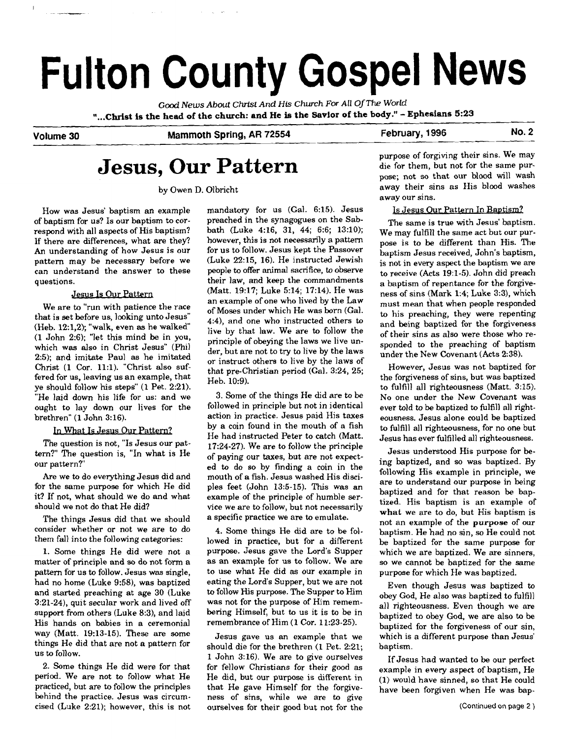# **Fulton County Gospel News**

*Gccd News About CMst And* **His Church** *For All Of* **The** *World*  **"...Christ is the head of the church: and He is the Savior of the body."** - **Ephesians 5:23** 

## **Volume 30** Mammoth Spring, AR 72554 **February, 1996 No. 2**

## **Jesus, Our Pattern**

by Owen D. Olbricht

How was Jesus' baptism an example of baptism for us? Is our baptism to correspond with all aspects of His baptism? If there are differences, what are they? An understanding of how Jesus is our pattern may be necessary before we can understand the answer to these auestions.

#### Jesus Is **Our** Pattern

We are to "run with patience the race that is set before us, looking unto Jesus" (Heb. 12:1,2); "walk, even as he walked (1 John 2:6); 'let this mind be in you, which was also in Christ Jesus" (Phil 2:5); and imitate Paul as he imitated Christ (1 Cor. 11:l). "Christ also suffered for us, leaving us an example, that ye should follow his steps" **(1** Pet. 2:21). "He laid down his life for us: and we ought to lay down our lives for the brethren" (1 John 3:16).

#### What Is Jesus Our Pattern?

The question is not, "Is Jesus our pattern?" The question is, "In what is He our pattern?"

Are we to do everything Jesus did and for the same purpose for which He did it? If not, what should we do and what should we not do that He did?

The things Jesus did that we should consider whether or not we are to do them fall into the following categories:

1. Some things He did were not a matter of principle and so do not form a pattern for us to follow. Jesus was single, had no home (Luke 9:58), was baptized and started preaching at age 30 (Luke 3:21-24), quit secular work and lived off support from others (Luke 8:3), and laid His hands on babies in a ceremonial way (Matt. 19:13-15). These are some things He did that are not a pattern for us to follow.

2. Some things He did were for that period. We are not to follow what He practiced, but are to follow the principles behind the practice. Jesus was circumcised (Luke 2:21); however, this is not mandatory for us (Gal. 6:15). Jesus preached in the synagogues on the Sabbath (Luke 4:16, 31, 44; 6:6; 13:lO); however, this is not necessarily a pattern for us to follow. Jesus kept the Passover (Luke 22:15, 16). He instructed Jewish people to offer animal sacrifice, to observe their law, and keep the commandments (Matt. 19:17; Luke 5:14; 17:14). He was an example of one who lived by the Law of Moses under which He was born (Gal. 4:4), and one who instructed others to live by that law. We are to follow the principle of obeying the laws we live under, but are not to try to live by the laws or instruct others to live by the laws of that pre-Christian period (Gal. 3:24, 25; Heb. 10:9).

3. Some of the things He did are to be followed in principle but not in identical action in practice. Jesus paid His taxes by a coin found in the mouth of a fish He had instructed Peter to catch (Matt. 1724-27). We are to follow the principle of paying our taxes, but are not expected to do so by finding a coin in the mouth of a fish. Jesus washed His disciples feet (John 13:5-15). This was an example of the principle of humble service we are to follow, but not necessarily a specific practice we are to emulate.

4. Some things He did are to be followed in practice, but for a different purpose. Jesus gave the Lord's Supper as an example for us to follow. We are to use what He did as our example in eating the Lord's Supper, but we are not to follow His purpose. The Supper to Him was not for the purpose of Him remembering Himself, but to us it is to be in remembrance of Him (1 Cor. 11:23-25).

Jesus gave us an example that we should die for the brethren (1 Pet. 2:21; 1 John 3:16). We are to give ourselves for fellow Christians for their good as He did, but our purpose is different in that He gave Himself for the forgiveness of sins, while we are to give ourselves for their good but not for the purpose of forgiving their sins. We may die for them, but not for the same purpose; not so that our blood will wash away their sins as His blood washes away our sins.

#### Is Jesus Our Pattern In Baptism?

The same is true with Jesus' baptism. We may fulfill the same act but our purpose is to be different than His. The baptism Jesus received, John's baptism, is not in every aspect the baptism we are to receive (Acts 19:l-5). John did preach a baptism of repentance for the forgiveness of sins (Mark 1:4; Luke 3:3), which must mean that when people responded to his preaching, they were repenting and being baptized for the forgiveness of their sins as also were those who responded to the preaching of baptism under the New Covenant (Acts 2:38).

However, Jesus was not baptized for the forgiveness of sins, but was baptized to fulfill all righteousness (Matt. 3:15). No one under the New Covenant was ever told to be baptized to fulfill all righteousness. Jesus alone could be baptized to fulfill all righteousness, for no one but Jesus has ever fulfilled all righteousness.

Jesus understood His purpose for being baptized, and so was baptized. By following His example in principle, we are to understand our purpose in being baptized and for that reason be baptized. His baptism is an example of what we are to do, but His baptism is not an example of the **purpose** of our baptism. He had no sin, so He could not be baptized for the same purpose for which we are baptized. We are sinners, so we cannot be baptized for the same purpose for which He was baptized.

Even though Jesus was baptized to obey God, He also was baptized to fulfill all righteousness. Even though we are baptized to obey God, we are also to be baptized for the forgiveness of our sin, which is a different purpose than Jesus' baptism.

If Jesus had wanted to be our perfect example in every aspect of baptism, He (1) would have sinned, so that He could have been forgiven when He was bap-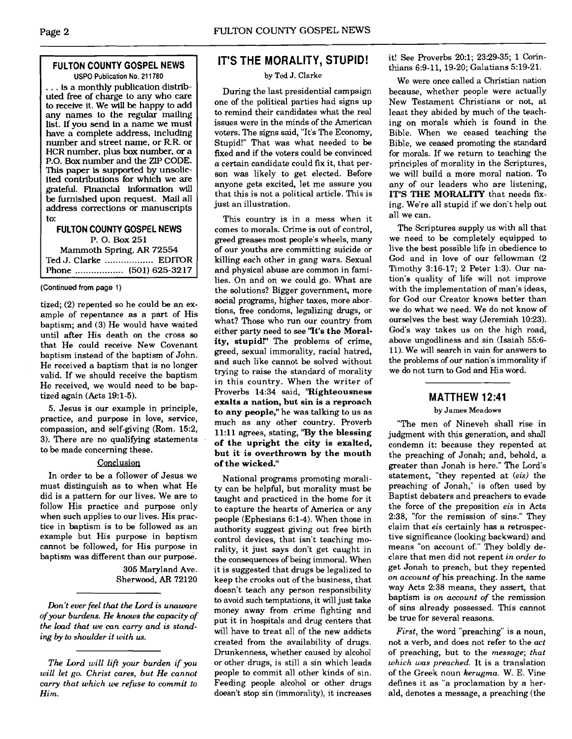#### **FULTON COUNTY GOSPEL NEWS USPO Publication No. 21 1780**

. . . is a monthly publication distributed free of charge to any who care to receive it. We will be happy to add any names to the regular mailing list. If you send in a name we must have a complete address, including number and street name. or RR. or HCR number. plus box number, or a P.O. Box number and the ZIP CODE. This paper is supported by unsolicited contributions for which we are gratefd. Financial information **will**  be furnished upon request. Mail all address corrections or manuscripts to:

#### **FULTON COUNTY GOSPEL NEWS**  P. 0. Box **<sup>251</sup>** Mammoth Spring. **AR 72554**  Ted J. Clarke .................. EDITOR

Phone ..... . . . . . . .. . . . . . **(501) 625-32 17** 

#### **(Continued from** page **1)**

tized; (2) repented so he could be an example of repentance as a part of His baptism; and (3) He would have waited until after His death on the cross so that He could receive New Covenant baptism instead of the baptism of John. He received a baptism that is no longer valid. If we should receive the baptism He received, we would need to be baptized again (Acts 19:l-5).

5. Jesus is our example in principle, practice, and purpose in love, service, compassion, and self-giving (Rom. 152, 3). There are no qualifying statements to be made concerning these.

#### Conclusion

In order to be a follower of Jesus we must distinguish as to when what He did is a pattern for our lives. We are to follow His practice and purpose only when such applies to our lives. His practice in baptism is to be followed as an example but His purpose in baptism cannot be followed, for His purpose in baptism was different than our purpose.

305 Maryland Ave. Sherwood, **AR** 72120

*Don't ever feel that the Lord is unaware of your burdens. He knows the capacity of the load that we can carry and is stand***ing** *by to shoulder it with* **us.** 

*The Lord will lift your burden if you will let go. Christ cares, but He cannot carry that which we refuse to commit to Him.* 

## **IT'S THE MORALITY, STUPID!**

#### **by Ted J. Clarke**

During the last presidential campaign one of the political parties had signs up to remind their candidates what the real issues were in the minds of the American voters. The signs said, "It's The Economy, Stupid!" That was what needed to be fixed and if the voters could be convinced a certain candidate could fix it, that person was likely to get elected. Before anyone gets excited, let me assure you that this is not a political article. This is just an illustration.

This country is in a mess when it comes to morals. Crime is out of control, greed greases most people's wheels, many of our youths are committing suicide or killing each other in gang wars. Sexual and physical abuse are common in families. On and on we could go. What are the solutions? Bigger government, more social programs, higher taxes, more abortions, free condoms, legalizing drugs, or what? Those who run our country from either party need to see **'lt's the Morality, stupid!"** The problems of crime, greed, sexual immorality, racial hatred, and such like cannot be solved without trying to raise the standard of morality in this country. When the writer of Proverbs 14:34 said, **"Righteousness exalts a nation, but sin is a reproach to any people,"** he was talking to us as much as any other country. Proverb 11:ll agrees, stating, **"By the blessing of the upright the city is exalted, but it is overthrown by the mouth of the wicked."** 

National programs promoting morality can be helpful, but morality must be taught and practiced in the home for it to capture the hearts of America or any people (Ephesians 6:l-4). When those in authority suggest giving out free birth control devices, that isn't teaching morality, it just says don't get caught in the consequences of being immoral. When it is suggested that drugs be legalized to keep the crooks out of the business, that doesn't teach any person responsibility to avoid such temptations, it will just take money away from crime fighting and put it in hospitals and drug centers that will have to treat all of the new addicts created from the availability of drugs. Drunkenness, whether caused by alcohol or other drugs, is still a sin which leads people to commit all other kinds of sin. Feeding people alcohol or other drugs doesn't stop sin (immorality), it increases it! See Proverbs 20:l; 23:29-35; 1 Corinthians 6:9-11, 19-20; Galatians 5:19-21.

We were once called a Christian nation because, whether people were actually New Testament Christians or not, at least they abided by much of the teaching on morals which is found in the Bible. When we ceased teaching the Bible, we ceased promoting the standard for morals. If we return to teaching the principles of morality in the Scriptures, we will build a more moral nation. To any of our leaders who are listening, **IT'S THE MORALITY** that needs fixing. We're all stupid if we don't help out all we can.

The Scriptures supply us with all that we need to be completely equipped to live the best possible life in obedience to God and in love of our fellowman (2 Timothy 3:16-17; 2 Peter 1:3). Our nation's quality of life will not improve with the implementation of man's ideas, for God our Creator knows better than we do what we need. We do not know of ourselves the best way (Jeremiah 10:23). God's way takes us on the high road, above ungodliness and sin (Isaiah 55:6- 11). We will search in vain for answers to the problems of our nation's immorality if we do not turn to God and His word.

#### **MATTHEW 12:41**

#### **by James Meadows**

"The men of Nineveh shall rise in judgment with this generation, and shall condemn it: because they repented at the preaching of Jonah; and, behold, a greater than Jonah is here." The Lord's statement, "they repented at *(eis)* the preaching of Jonah," is often used by Baptist debaters and preachers to evade the force of the preposition *eis* in Acts 2:38, "for the remission of sins." They claim that *eis* certainly has a retrospective significance (looking backward) and means "on account of." They boldly declare that men did not repent *in order to*  get Jonah to preach, but they repented *on account of* his preaching. In the same way Acts 2:38 means, they assert, that baptism is *on account of* the remission of sins already possessed. This cannot be true for several reasons.

*First,* the word "preaching" is a noun, not a verb. and does not refer to the *act*  of preaching, but to the *message; that which was preached.* It is a translation of the Greek noun *kerugma.* W. E. Vine defines it as "a proclamation by a herald, denotes a message, a preaching (the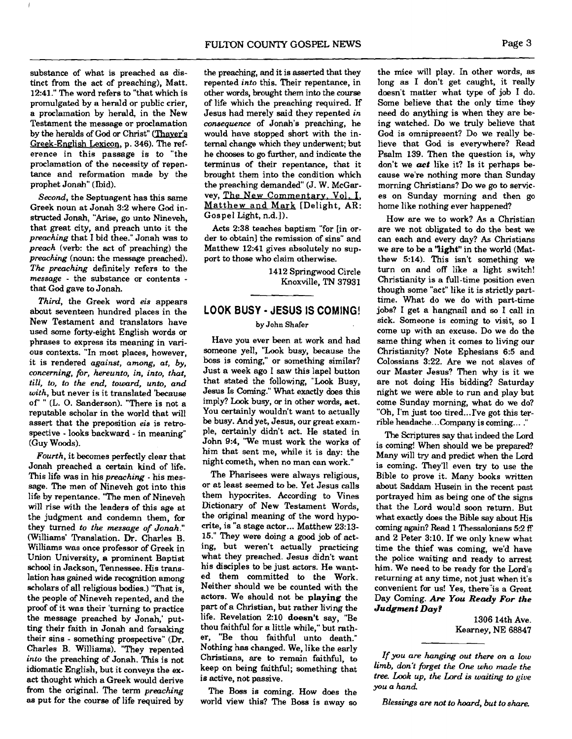substance of what is preached as distinct from the act of preaching), Matt. 12:41." The word refers to "that which is promulgated by a herald or public crier, a proclamation by herald, in the New Testament the message or proclamation by the heralds of **God** or Christ" (Thaver's Greek-English Lexicon, p. 346). The reference in this passage is to "the proclamation of the necessity of repentance and reformation made by the prophet Jonah" (Ibid).

Second, the Septuagent has this same Greek noun at Jonah 3:2 where God instructed Jonah, **"Arise,** go unto Nineveh, that great city, and preach unto it the preaching that I bid thee." Jonah was to preach (verb: the act of preaching) the preaching (noun: the message preached). The preaching definitely refers to the message - the substance or contents that God gave to Jonah.

Third, the Greek word eis appears about seventeen hundred places in the New Testament and translators have used some forty-eight English words or phrases to express its meaning in various contexts. "In most places, however, it is rendered against, among, at, by, concerning, for, hereunto, in, into, that, till, *to,* to the *end,* toward, unto, and with, but never is it translated 'because of' " (L. 0. Sanderson). "There is not a reputable scholar in the world that will assert that the preposition **eis** is retrospective - looks backward - in meaning" (Guy Woods).

Fourth, it becomes perfectly clear that Jonah preached a certain kind of life. This life was in his *preaching* - his message. The men of Nineveh got into this life by repentance. "The men of Nineveh will rise with the leaders of this age at the judgment and condemn them, for they turned to the message *of* Jonah." Williams' Translation. Dr. Charles B. Williams was once professor of Greek in Union University, a prominent Baptist school in Jackson, Tennessee. His translation has gained wide recognition among scholars of all religious bodies.) "That is, the people of Nineveh repented, and the proof of it was their 'turning to practice the message preached by Jonah,' putting their faith in Jonah and forsaking their sins - something prospective" (Dr. Charles B. Williams). "They repented into the preaching of Jonah. This is not idiomatic English, but it conveys the ex**act** thought which a Greek would derive from the original. The term *preaching* **as** put for the course of life required by

the preaching, and it is asserted that they repented into this. Their repentance, in other words, brought them into the course of life which the preaching required. If Jesus had merely said they repented in consequence of Jonah's preaching, he would have stopped short with the internal change which they underwent; but he chooses to go further, and indicate the terminus of their repentance, that it brought them into the condition which the preaching demanded" (J. W. McGar-<br>vey, The New Commentary, Vol. I. Matthew and Mark [Delight, AR: Gospel Light, n.d.]).

Acts 238 teaches baptism "for [in order to obtain] the remission of sins" and Matthew 12:41 gives absolutely no support to those who claim otherwise.

> 1412 Springwood Circle Knoxville, **TN** 37931

## **LOOK BUSY JESUS IS COMING!**

#### **by John Shafer**

Have you ever been at work and had someone yell, "Look busy, because the boss is coming," or something similar? Just a week ago I saw this lapel button that stated the following, "Look Busy, Jesus Is Coming." What exactly does this imply? Look busy, or in other words, act. You certainly wouldn't want to actually be busy. And yet, Jesus, our great example, certainly didn't act. He stated in John 9:4, 'We must work the works of him that sent me, while it is day: the night cometh, when no man can work."

The Pharisees were always religious, or at least seemed to be. Yet Jesus calls them hypocrites. According to Vines Dictionary of New Testament Words, the original meaning of the word hypocrite, is "a stage actor ... Matthew 23:13- 15." They were doing a good job of acting, but weren't actually practicing what they preached. Jesus didn't want his disciples to be just actors. He wanted them committed to the Work. Neither should we be counted with the actors. We should not be playing the part of a Christian, but rather living the life. Revelation 2:10 doesn't say, "Be thou faithful for a little while," but rather, "Be thou faithful unto death." Nothing has changed. We, like the early Christians, are to remain faithful, to keep on being faithful; something that is active, not passive.

The Boss is coming. How does the world view this? The Boss is away so

the mice will play. In other words, as long as I don't get caught, it really doesn't matter what type of job I do. Some believe that the only time they need do anything is when they are being watched. Do we truly believe that God is omnipresent? Do we really believe that God is everywhere? Read Psalm 139. Then the question is, why don't we **act** like it? Is it perhaps because we're nothing more than Sunday morning Christians? Do we go to services on Sunday morning and then go home like nothing ever happened?

How are we to work? **As** a Christian are we not obligated to do the best we can each and every day? As Christians we are to be a "light" in the world (Matthew 514). This isn't something we turn on and off like a light switch! Christianity is a full-time position even though some "act" like it is strictly parttime. What do we do with part-time jobs? I get a hangnail and so I call in sick. Someone is coming to visit, so I come up with an excuse. Do we do the same thing when it comes to living our Christianity? Note Ephesians 6:5 and Colossians 322. Are we not slaves of our Master Jesus? Then why is it we are not doing His bidding? Saturday night we were able to run and play but come Sunday morning, what do we do? "Oh, I'm just too tired... I've got this terrible headache.. .Company is coming.. . ."

The Scriptures say that indeed the Lord is coming! When should we be prepared? Many will **try** and predict when the Lord is coming. They'll even try to use the Bible to prove it. Many books written about Saddam Husein in the recent past portrayed him as being one of the signs that the Lord would soon return. But what exactly does the Bible say about His coming again? Read 1 Thessalonians 5:2 ff and 2 Peter 3:lO. If we only knew what time the thief was coming, we'd have the police waiting and ready to arrest him. We need to be ready for the Lord's returning at any time, not just when it's convenient for us! Yes, there<sup>\*</sup>is a Great Day Coming. *Are* **You Ready For** *the Judgment Day?* 

> 1306 14th Ave. Kearney, NE 68847

*If* you are hanging out there on a low limb, don't firget the **One** who **mu&** the tree. Look up, the Lord is waiting to give you a *hand* 

Blessings are not to hoard, but to share.